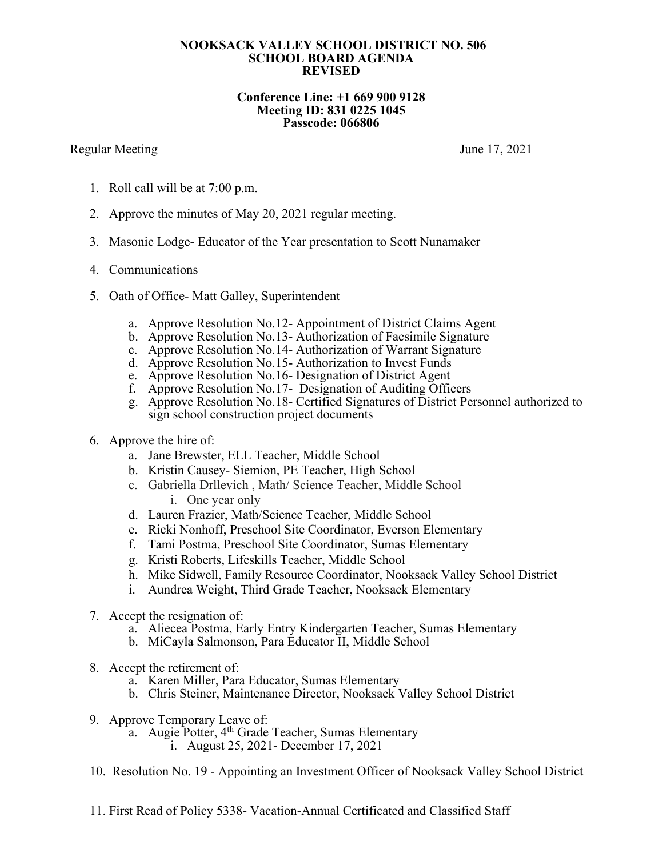## **NOOKSACK VALLEY SCHOOL DISTRICT NO. 506 SCHOOL BOARD AGENDA REVISED**

## **Conference Line: +1 669 900 9128 Meeting ID: 831 0225 1045 Passcode: 066806**

## Regular Meeting June 17, 2021

- 1. Roll call will be at 7:00 p.m.
- 2. Approve the minutes of May 20, 2021 regular meeting.
- 3. Masonic Lodge- Educator of the Year presentation to Scott Nunamaker
- 4. Communications
- 5. Oath of Office- Matt Galley, Superintendent
	- a. Approve Resolution No.12- Appointment of District Claims Agent
	- b. Approve Resolution No.13- Authorization of Facsimile Signature
	- c. Approve Resolution No.14- Authorization of Warrant Signature
	- d. Approve Resolution No.15- Authorization to Invest Funds
	- e. Approve Resolution No.16- Designation of District Agent
	- f. Approve Resolution No.17- Designation of Auditing Officers
	- g. Approve Resolution No.18- Certified Signatures of District Personnel authorized to sign school construction project documents
- 6. Approve the hire of:
	- a. Jane Brewster, ELL Teacher, Middle School
	- b. Kristin Causey- Siemion, PE Teacher, High School
	- c. Gabriella Drllevich , Math/ Science Teacher, Middle School i. One year only
	- d. Lauren Frazier, Math/Science Teacher, Middle School
	- e. Ricki Nonhoff, Preschool Site Coordinator, Everson Elementary
	- f. Tami Postma, Preschool Site Coordinator, Sumas Elementary
	- g. Kristi Roberts, Lifeskills Teacher, Middle School
	- h. Mike Sidwell, Family Resource Coordinator, Nooksack Valley School District
	- i. Aundrea Weight, Third Grade Teacher, Nooksack Elementary
- 7. Accept the resignation of:
	- a. Aliecea Postma, Early Entry Kindergarten Teacher, Sumas Elementary
	- b. MiCayla Salmonson, Para Educator II, Middle School
- 8. Accept the retirement of:
	- a. Karen Miller, Para Educator, Sumas Elementary
	- b. Chris Steiner, Maintenance Director, Nooksack Valley School District
- 9. Approve Temporary Leave of:
	- a. Augie Potter, 4<sup>th</sup> Grade Teacher, Sumas Elementary
		- i. August 25, 2021- December 17, 2021
- 10. Resolution No. 19 Appointing an Investment Officer of Nooksack Valley School District
- 11. First Read of Policy 5338- Vacation-Annual Certificated and Classified Staff